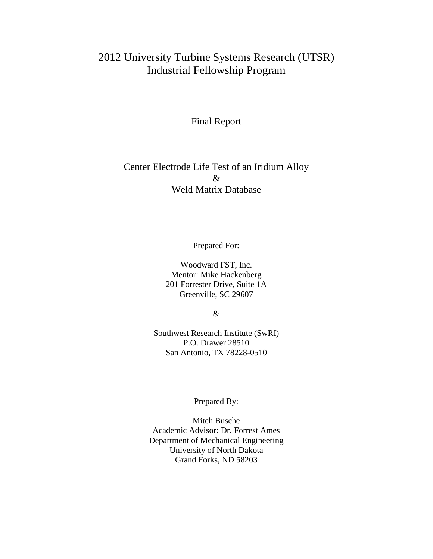# 2012 University Turbine Systems Research (UTSR) Industrial Fellowship Program

### Final Report

### Center Electrode Life Test of an Iridium Alloy & Weld Matrix Database

Prepared For:

Woodward FST, Inc. Mentor: Mike Hackenberg 201 Forrester Drive, Suite 1A Greenville, SC 29607

&

Southwest Research Institute (SwRI) P.O. Drawer 28510 San Antonio, TX 78228-0510

#### Prepared By:

Mitch Busche Academic Advisor: Dr. Forrest Ames Department of Mechanical Engineering University of North Dakota Grand Forks, ND 58203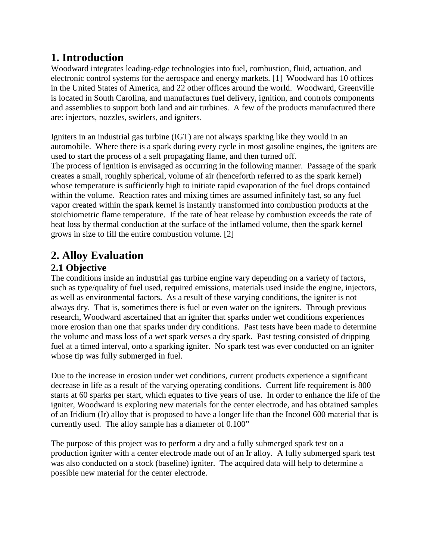# **1. Introduction**

Woodward integrates leading-edge technologies into fuel, combustion, fluid, actuation, and electronic control systems for the aerospace and energy markets. [1] Woodward has 10 offices in the United States of America, and 22 other offices around the world. Woodward, Greenville is located in South Carolina, and manufactures fuel delivery, ignition, and controls components and assemblies to support both land and air turbines. A few of the products manufactured there are: injectors, nozzles, swirlers, and igniters.

Igniters in an industrial gas turbine (IGT) are not always sparking like they would in an automobile. Where there is a spark during every cycle in most gasoline engines, the igniters are used to start the process of a self propagating flame, and then turned off.

The process of ignition is envisaged as occurring in the following manner. Passage of the spark creates a small, roughly spherical, volume of air (henceforth referred to as the spark kernel) whose temperature is sufficiently high to initiate rapid evaporation of the fuel drops contained within the volume. Reaction rates and mixing times are assumed infinitely fast, so any fuel vapor created within the spark kernel is instantly transformed into combustion products at the stoichiometric flame temperature. If the rate of heat release by combustion exceeds the rate of heat loss by thermal conduction at the surface of the inflamed volume, then the spark kernel grows in size to fill the entire combustion volume. [2]

# **2. Alloy Evaluation**

### **2.1 Objective**

The conditions inside an industrial gas turbine engine vary depending on a variety of factors, such as type/quality of fuel used, required emissions, materials used inside the engine, injectors, as well as environmental factors. As a result of these varying conditions, the igniter is not always dry. That is, sometimes there is fuel or even water on the igniters. Through previous research, Woodward ascertained that an igniter that sparks under wet conditions experiences more erosion than one that sparks under dry conditions. Past tests have been made to determine the volume and mass loss of a wet spark verses a dry spark. Past testing consisted of dripping fuel at a timed interval, onto a sparking igniter. No spark test was ever conducted on an igniter whose tip was fully submerged in fuel.

Due to the increase in erosion under wet conditions, current products experience a significant decrease in life as a result of the varying operating conditions. Current life requirement is 800 starts at 60 sparks per start, which equates to five years of use. In order to enhance the life of the igniter, Woodward is exploring new materials for the center electrode, and has obtained samples of an Iridium (Ir) alloy that is proposed to have a longer life than the Inconel 600 material that is currently used. The alloy sample has a diameter of 0.100"

The purpose of this project was to perform a dry and a fully submerged spark test on a production igniter with a center electrode made out of an Ir alloy. A fully submerged spark test was also conducted on a stock (baseline) igniter. The acquired data will help to determine a possible new material for the center electrode.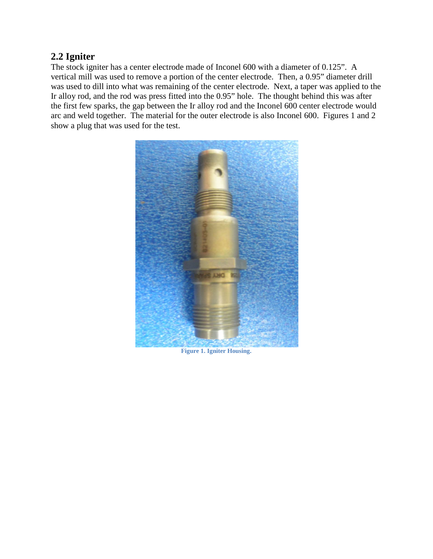### **2.2 Igniter**

The stock igniter has a center electrode made of Inconel 600 with a diameter of 0.125". A vertical mill was used to remove a portion of the center electrode. Then, a 0.95" diameter drill was used to dill into what was remaining of the center electrode. Next, a taper was applied to the Ir alloy rod, and the rod was press fitted into the 0.95" hole. The thought behind this was after the first few sparks, the gap between the Ir alloy rod and the Inconel 600 center electrode would arc and weld together. The material for the outer electrode is also Inconel 600. Figures 1 and 2 show a plug that was used for the test.



**Figure 1. Igniter Housing.**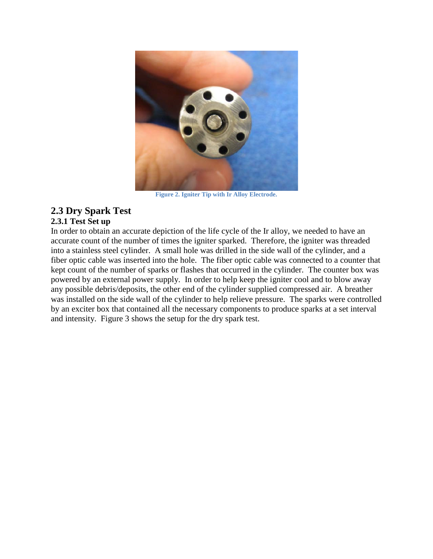

**Figure 2. Igniter Tip with Ir Alloy Electrode.**

### **2.3 Dry Spark Test**

#### **2.3.1 Test Set up**

In order to obtain an accurate depiction of the life cycle of the Ir alloy, we needed to have an accurate count of the number of times the igniter sparked. Therefore, the igniter was threaded into a stainless steel cylinder. A small hole was drilled in the side wall of the cylinder, and a fiber optic cable was inserted into the hole. The fiber optic cable was connected to a counter that kept count of the number of sparks or flashes that occurred in the cylinder. The counter box was powered by an external power supply. In order to help keep the igniter cool and to blow away any possible debris/deposits, the other end of the cylinder supplied compressed air. A breather was installed on the side wall of the cylinder to help relieve pressure. The sparks were controlled by an exciter box that contained all the necessary components to produce sparks at a set interval and intensity. Figure 3 shows the setup for the dry spark test.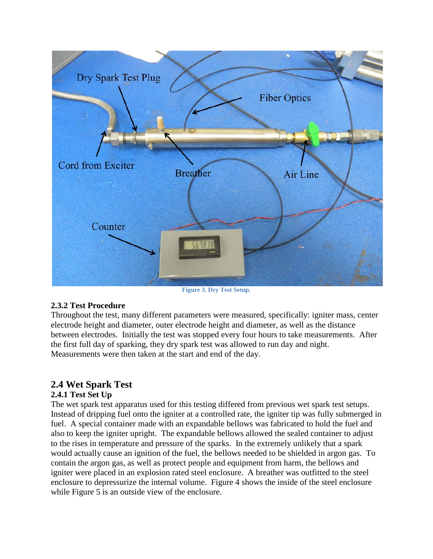

**Figure 3. Dry Test Setup.**

#### **2.3.2 Test Procedure**

Throughout the test, many different parameters were measured, specifically: igniter mass, center electrode height and diameter, outer electrode height and diameter, as well as the distance between electrodes. Initially the test was stopped every four hours to take measurements. After the first full day of sparking, they dry spark test was allowed to run day and night. Measurements were then taken at the start and end of the day.

### **2.4 Wet Spark Test**

#### **2.4.1 Test Set Up**

The wet spark test apparatus used for this testing differed from previous wet spark test setups. Instead of dripping fuel onto the igniter at a controlled rate, the igniter tip was fully submerged in fuel. A special container made with an expandable bellows was fabricated to hold the fuel and also to keep the igniter upright. The expandable bellows allowed the sealed container to adjust to the rises in temperature and pressure of the sparks. In the extremely unlikely that a spark would actually cause an ignition of the fuel, the bellows needed to be shielded in argon gas. To contain the argon gas, as well as protect people and equipment from harm, the bellows and igniter were placed in an explosion rated steel enclosure. A breather was outfitted to the steel enclosure to depressurize the internal volume. Figure 4 shows the inside of the steel enclosure while Figure 5 is an outside view of the enclosure.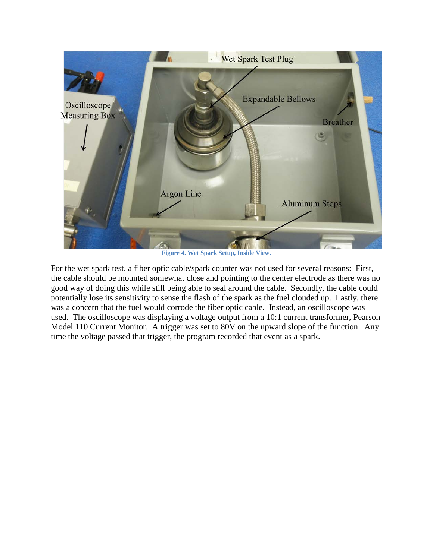

**Figure 4. Wet Spark Setup, Inside View.**

For the wet spark test, a fiber optic cable/spark counter was not used for several reasons: First, the cable should be mounted somewhat close and pointing to the center electrode as there was no good way of doing this while still being able to seal around the cable. Secondly, the cable could potentially lose its sensitivity to sense the flash of the spark as the fuel clouded up. Lastly, there was a concern that the fuel would corrode the fiber optic cable. Instead, an oscilloscope was used. The oscilloscope was displaying a voltage output from a 10:1 current transformer, Pearson Model 110 Current Monitor. A trigger was set to 80V on the upward slope of the function. Any time the voltage passed that trigger, the program recorded that event as a spark.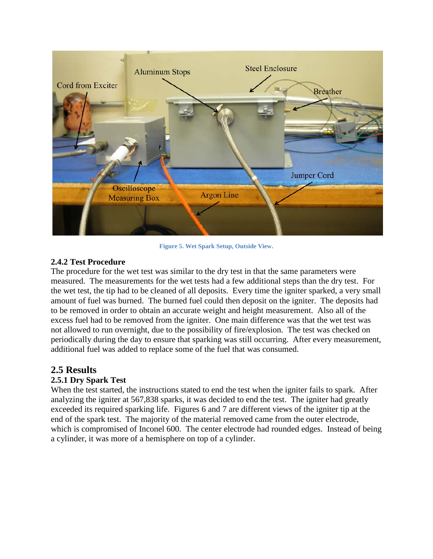

**Figure 5. Wet Spark Setup, Outside View.**

#### **2.4.2 Test Procedure**

The procedure for the wet test was similar to the dry test in that the same parameters were measured. The measurements for the wet tests had a few additional steps than the dry test. For the wet test, the tip had to be cleaned of all deposits. Every time the igniter sparked, a very small amount of fuel was burned. The burned fuel could then deposit on the igniter. The deposits had to be removed in order to obtain an accurate weight and height measurement. Also all of the excess fuel had to be removed from the igniter. One main difference was that the wet test was not allowed to run overnight, due to the possibility of fire/explosion. The test was checked on periodically during the day to ensure that sparking was still occurring. After every measurement, additional fuel was added to replace some of the fuel that was consumed.

### **2.5 Results**

#### **2.5.1 Dry Spark Test**

When the test started, the instructions stated to end the test when the igniter fails to spark. After analyzing the igniter at 567,838 sparks, it was decided to end the test. The igniter had greatly exceeded its required sparking life. Figures 6 and 7 are different views of the igniter tip at the end of the spark test. The majority of the material removed came from the outer electrode, which is compromised of Inconel 600. The center electrode had rounded edges. Instead of being a cylinder, it was more of a hemisphere on top of a cylinder.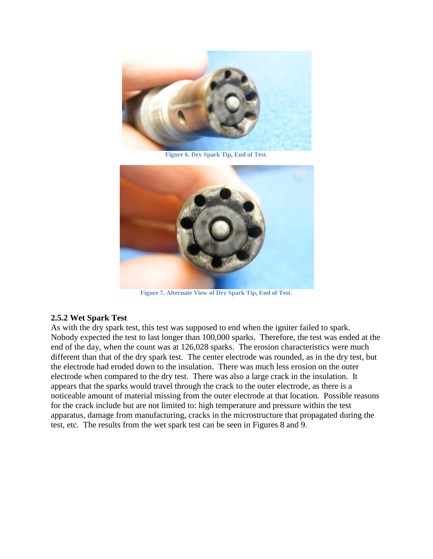

**Figure 6. Dry Spark Tip, End of Test.**



**Figure 7. Alternate View of Dry Spark Tip, End of Test.**

#### **2.5.2 Wet Spark Test**

As with the dry spark test, this test was supposed to end when the igniter failed to spark. Nobody expected the test to last longer than 100,000 sparks. Therefore, the test was ended at the end of the day, when the count was at 126,028 sparks. The erosion characteristics were much different than that of the dry spark test. The center electrode was rounded, as in the dry test, but the electrode had eroded down to the insulation. There was much less erosion on the outer electrode when compared to the dry test. There was also a large crack in the insulation. It appears that the sparks would travel through the crack to the outer electrode, as there is a noticeable amount of material missing from the outer electrode at that location. Possible reasons for the crack include but are not limited to: high temperature and pressure within the test apparatus, damage from manufacturing, cracks in the microstructure that propagated during the test, etc. The results from the wet spark test can be seen in Figures 8 and 9.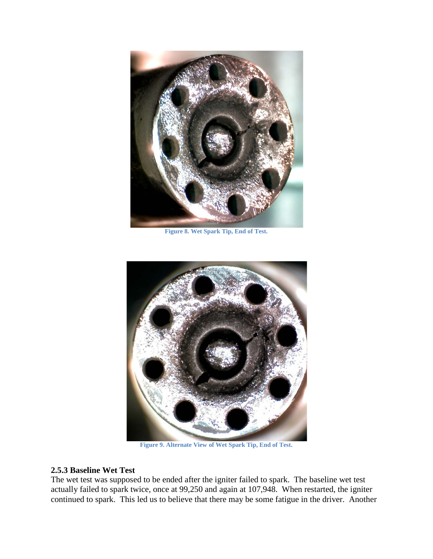

**Figure 8. Wet Spark Tip, End of Test.**



**Figure 9. Alternate View of Wet Spark Tip, End of Test.**

#### **2.5.3 Baseline Wet Test**

The wet test was supposed to be ended after the igniter failed to spark. The baseline wet test actually failed to spark twice, once at 99,250 and again at 107,948. When restarted, the igniter continued to spark. This led us to believe that there may be some fatigue in the driver. Another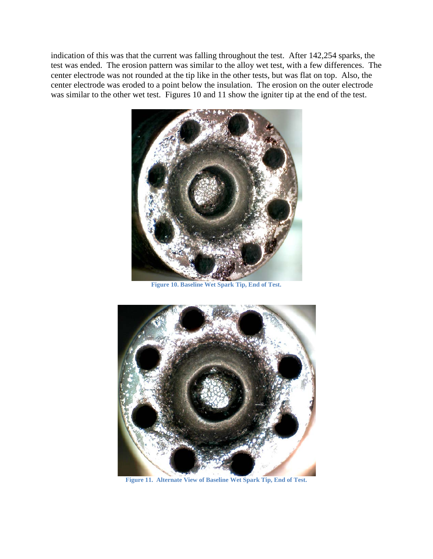indication of this was that the current was falling throughout the test. After 142,254 sparks, the test was ended. The erosion pattern was similar to the alloy wet test, with a few differences. The center electrode was not rounded at the tip like in the other tests, but was flat on top. Also, the center electrode was eroded to a point below the insulation. The erosion on the outer electrode was similar to the other wet test. Figures 10 and 11 show the igniter tip at the end of the test.



**Figure 10. Baseline Wet Spark Tip, End of Test.**



**Figure 11. Alternate View of Baseline Wet Spark Tip, End of Test.**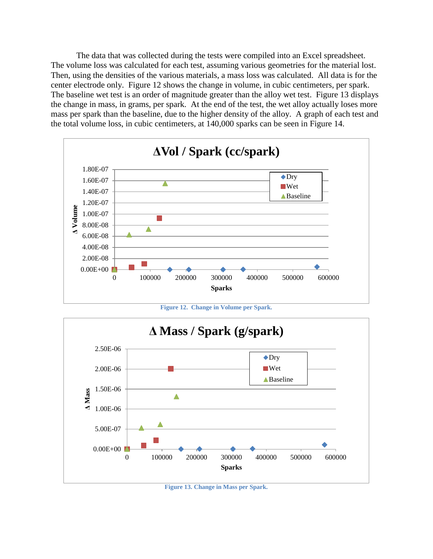The data that was collected during the tests were compiled into an Excel spreadsheet. The volume loss was calculated for each test, assuming various geometries for the material lost. Then, using the densities of the various materials, a mass loss was calculated. All data is for the center electrode only. Figure 12 shows the change in volume, in cubic centimeters, per spark. The baseline wet test is an order of magnitude greater than the alloy wet test. Figure 13 displays the change in mass, in grams, per spark. At the end of the test, the wet alloy actually loses more mass per spark than the baseline, due to the higher density of the alloy. A graph of each test and the total volume loss, in cubic centimeters, at 140,000 sparks can be seen in Figure 14.



**Figure 12. Change in Volume per Spark.**



**Figure 13. Change in Mass per Spark.**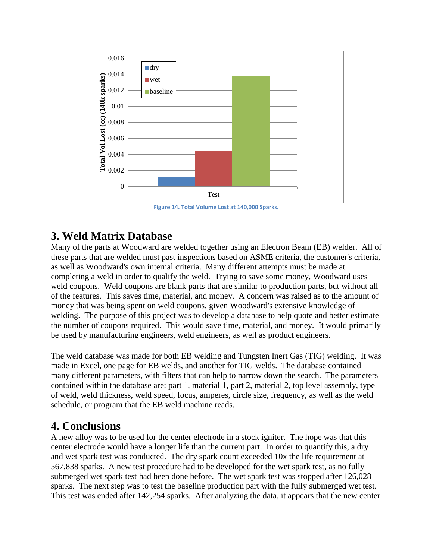

**Figure 14. Total Volume Lost at 140,000 Sparks.**

# **3. Weld Matrix Database**

Many of the parts at Woodward are welded together using an Electron Beam (EB) welder. All of these parts that are welded must past inspections based on ASME criteria, the customer's criteria, as well as Woodward's own internal criteria. Many different attempts must be made at completing a weld in order to qualify the weld. Trying to save some money, Woodward uses weld coupons. Weld coupons are blank parts that are similar to production parts, but without all of the features. This saves time, material, and money. A concern was raised as to the amount of money that was being spent on weld coupons, given Woodward's extensive knowledge of welding. The purpose of this project was to develop a database to help quote and better estimate the number of coupons required. This would save time, material, and money. It would primarily be used by manufacturing engineers, weld engineers, as well as product engineers.

The weld database was made for both EB welding and Tungsten Inert Gas (TIG) welding. It was made in Excel, one page for EB welds, and another for TIG welds. The database contained many different parameters, with filters that can help to narrow down the search. The parameters contained within the database are: part 1, material 1, part 2, material 2, top level assembly, type of weld, weld thickness, weld speed, focus, amperes, circle size, frequency, as well as the weld schedule, or program that the EB weld machine reads.

## **4. Conclusions**

A new alloy was to be used for the center electrode in a stock igniter. The hope was that this center electrode would have a longer life than the current part. In order to quantify this, a dry and wet spark test was conducted. The dry spark count exceeded 10x the life requirement at 567,838 sparks. A new test procedure had to be developed for the wet spark test, as no fully submerged wet spark test had been done before. The wet spark test was stopped after 126,028 sparks. The next step was to test the baseline production part with the fully submerged wet test. This test was ended after 142,254 sparks. After analyzing the data, it appears that the new center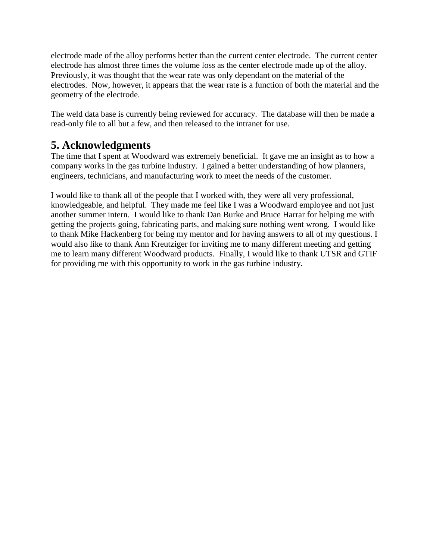electrode made of the alloy performs better than the current center electrode. The current center electrode has almost three times the volume loss as the center electrode made up of the alloy. Previously, it was thought that the wear rate was only dependant on the material of the electrodes. Now, however, it appears that the wear rate is a function of both the material and the geometry of the electrode.

The weld data base is currently being reviewed for accuracy. The database will then be made a read-only file to all but a few, and then released to the intranet for use.

# **5. Acknowledgments**

The time that I spent at Woodward was extremely beneficial. It gave me an insight as to how a company works in the gas turbine industry. I gained a better understanding of how planners, engineers, technicians, and manufacturing work to meet the needs of the customer.

I would like to thank all of the people that I worked with, they were all very professional, knowledgeable, and helpful. They made me feel like I was a Woodward employee and not just another summer intern. I would like to thank Dan Burke and Bruce Harrar for helping me with getting the projects going, fabricating parts, and making sure nothing went wrong. I would like to thank Mike Hackenberg for being my mentor and for having answers to all of my questions. I would also like to thank Ann Kreutziger for inviting me to many different meeting and getting me to learn many different Woodward products. Finally, I would like to thank UTSR and GTIF for providing me with this opportunity to work in the gas turbine industry.